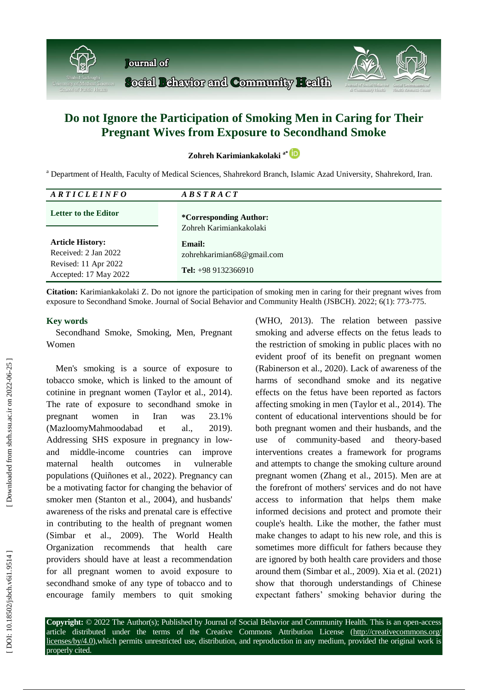

## **Do not Ignore the Participation of Smoking Men in Caring for Their Pregnant Wives from Exposure to Secondhand Smoke**

**Zohreh Karimiankakolaki a \***

<sup>a</sup> Department of Health, Faculty of Medical Sciences, Shahrekord Branch, Islamic Azad University, Shahrekord, Iran.

| ARTICLEINFO                                                                                      | $\overline{AB}$ S T R A C T                                         |
|--------------------------------------------------------------------------------------------------|---------------------------------------------------------------------|
| <b>Letter to the Editor</b>                                                                      | <i>*Corresponding Author:</i>                                       |
|                                                                                                  | Zohreh Karimiankakolaki                                             |
| <b>Article History:</b><br>Received: 2 Jan 2022<br>Revised: 11 Apr 2022<br>Accepted: 17 May 2022 | Email:<br>zohrehkarimian68@gmail.com<br><b>Tel:</b> $+989132366910$ |

**Citation :** Karimiankakolaki Z. Do not ignore the participation of smoking men in caring for their pregnant wives from exposure to Secondhand Smoke. Journal of Social Behavior and Community Health (JSBCH). 2022; 6(1): 773-775.

## **Key words**

Secondhand Smoke, Smoking, Men, Pregnant Women

Men's smoking is a source of exposure to tobacco smoke, which is linked to the amount of cotinine in pregnant women (Taylor et al., 2014 ) . The rate of exposure to secondhand smoke in pregnant women in Iran was 23.1% (MazloomyMahmoodabad et al., 2019). Addressing SHS exposure in pregnancy in low and middle countries can improve maternal health outcomes in vulnerable populations (Quiñones et al., 2022 ) . Pregnancy can be a motivating factor for changing the behavior of smoker men (Stanton et al., 2004 ), and husbands' awareness of the risks and prenatal care is effective in contributing to the health of pregnant women (Simbar et al., 2009). The World Health Organization recommends that health care providers should have at least a recommendation for all pregnant women to avoid exposure to secondhand smoke of any type of tobacco and to encourage family members to quit smoking

(WHO, 2013 ) . The relation between passive smoking and adverse effects on the fetus leads to the restriction of smoking in public places with no evident proof of its benefit on pregnant women (Rabinerson et al., 2020). Lack of awareness of the harms of secondhand smoke and its negative effects on the fetus have been reported as factors affecting smoking in men (Taylor et al., 2014 ) . The content of educational interventions should be for both pregnant women and their husbands, and the use of community -based and theory -based interventions creates a framework for programs and attempts to change the smoking culture around pregnant women (Zhang et al., 201 5 ) . Men are at the forefront of mothers' services and do not have access to information that helps them make informed decisions and protect and promote their couple's health. Like the mother, the father must make changes to adapt to his new role, and this is sometimes more difficult for fathers because they are ignored by both health care providers and those around them (Simbar et al., 2009 ) . Xia et al. (2021) show that thorough understandings of Chinese expectant fathers' smoking behavior during the

**Copyright:** © 2022 The Author(s); Published by Journal of Social Behavior and Community Health. This is an open -access article distributed under the terms of the Creative Commons Attribution License (http://creativecommons.org/ licenses/by/4.0), which permits unrestricted use, distribution, and reproduction in any medium, provided the original work is properly cited.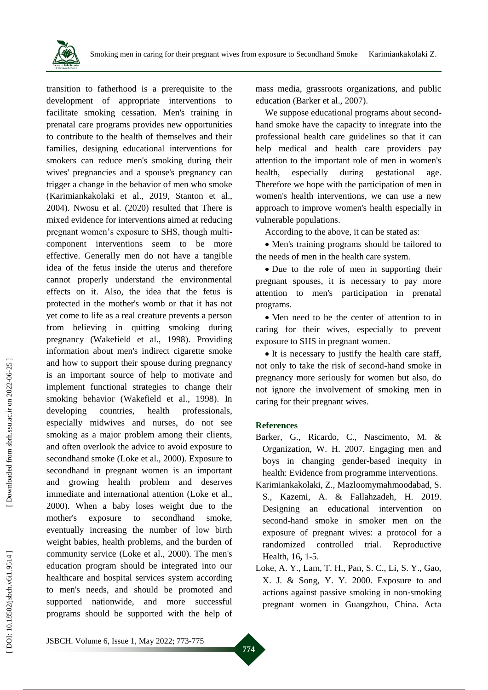

transition to fatherhood is a prerequisite to the development of appropriate interventions to facilitate smoking cessation. Men's training in prenatal care programs provides new opportunities to contribute to the health of themselves and their families, designing educational interventions for smokers can reduce men's smoking during their wives' pregnancies and a spouse's pregnancy can trigger a change in the behavior of men who smoke (Karimiankakolaki et al., 2019, Stanton et al., 2004 ) . Nwosu et al. (2020) resulted that There is mixed evidence for interventions aimed at reducing pregnant women's exposure to SHS, though multi component interventions seem to be more effective . Generally men do not have a tangible idea of the fetus inside the uterus and therefore cannot properly understand the environmental effects on it. Also, the idea that the fetus is protected in the mother's womb or that it has not yet come to life as a real creature prevents a person from believing in quitting smoking during pregnancy (Wakefield et al., 1998 ). Providing information about men's indirect cigarette smoke and how to support their spouse during pregnancy is an important source of help to motivate and implement functional strategies to change their smoking behavior (Wakefield et al., 1998 ) . In developing countries, health professionals, especially midwives and nurses, do not see smoking as a major problem among their clients, and often overlook the advice to avoid exposure to secondhand smoke (Loke et al., 2000 ) . Exposure to secondhand in pregnant women is an important and growing health problem and deserves immediate and international attention (Loke et al., 2000 ) . When a baby loses weight due to the mother's exposure to secondhand smoke, eventually increasing the number of low birth weight babies, health problems, and the burden of community service (Loke et al., 2000 ) . The men's education program should be integrated into our healthcare and hospital services system according to men's needs, and should be promoted and supported nationwide, and more successful programs should be supported with the help of

mass media, grassroots organizations, and public education (Barker et al., 2007 ) .

We suppose educational programs about secondhand smoke have the capacity to integrate into the professional health care guidelines so that it can help medical and health care providers pay attention to the important role of men in women's health, especially during gestational age. Therefore we hope with the participation of men in women's health interventions, we can use a new approach to improve women's health especially in vulnerable populations .

According to the above, it can be stated as:

 Men's training programs should be tailored to the needs of men in the health care system.

• Due to the role of men in supporting their pregnant spouses, it is necessary to pay more attention to men's participation in prenatal programs.

 Men need to be the center of attention to in caring for their wives, especially to prevent exposure to SHS in pregnant women.

• It is necessary to justify the health care staff, not only to take the risk of second -hand smoke in pregnancy more seriously for women but also, do not ignore the involvement of smoking men in caring for their pregnant wives.

## **References**

- Barker, G., Ricardo, C., Nascimento, M. & Organization, W. H. 2007. Engaging men and boys in changing gender -based inequity in health: Evidence from programme interventions.
- Karimiankakolaki, Z., Mazloomymahmoodabad, S. S., Kazemi, A. & Fallahzadeh, H. 2019. Designing an educational intervention on second -hand smoke in smoker men on the exposure of pregnant wives: a protocol for a randomized controlled trial. Reproductive Health, 16, 1-5.
- Loke, A. Y., Lam, T. H., Pan, S. C., Li, S. Y., Gao, X. J. & Song, Y. Y. 2000. Exposure to and actions against passive smoking in non ‐smoking pregnant women in Guangzhou, China. Acta

JSBCH. Volume 6, Issue 1, May 202 2; 773 -775